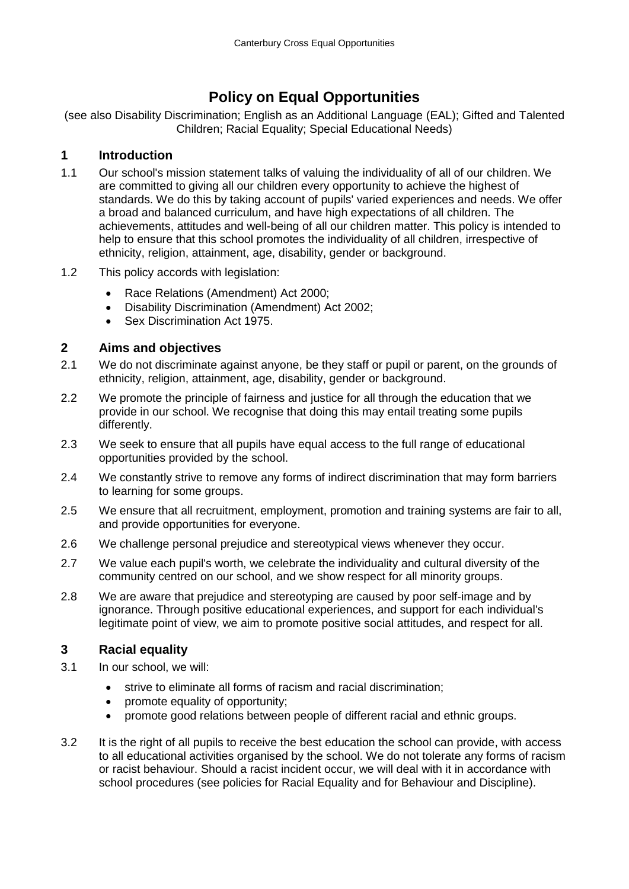# **Policy on Equal Opportunities**

(see also Disability Discrimination; English as an Additional Language (EAL); Gifted and Talented Children; Racial Equality; Special Educational Needs)

#### **1 Introduction**

- 1.1 Our school's mission statement talks of valuing the individuality of all of our children. We are committed to giving all our children every opportunity to achieve the highest of standards. We do this by taking account of pupils' varied experiences and needs. We offer a broad and balanced curriculum, and have high expectations of all children. The achievements, attitudes and well-being of all our children matter. This policy is intended to help to ensure that this school promotes the individuality of all children, irrespective of ethnicity, religion, attainment, age, disability, gender or background.
- 1.2 This policy accords with legislation:
	- Race Relations (Amendment) Act 2000:
	- Disability Discrimination (Amendment) Act 2002;
	- **Sex Discrimination Act 1975.**

### **2 Aims and objectives**

- 2.1 We do not discriminate against anyone, be they staff or pupil or parent, on the grounds of ethnicity, religion, attainment, age, disability, gender or background.
- 2.2 We promote the principle of fairness and justice for all through the education that we provide in our school. We recognise that doing this may entail treating some pupils differently.
- 2.3 We seek to ensure that all pupils have equal access to the full range of educational opportunities provided by the school.
- 2.4 We constantly strive to remove any forms of indirect discrimination that may form barriers to learning for some groups.
- 2.5 We ensure that all recruitment, employment, promotion and training systems are fair to all, and provide opportunities for everyone.
- 2.6 We challenge personal prejudice and stereotypical views whenever they occur.
- 2.7 We value each pupil's worth, we celebrate the individuality and cultural diversity of the community centred on our school, and we show respect for all minority groups.
- 2.8 We are aware that prejudice and stereotyping are caused by poor self-image and by ignorance. Through positive educational experiences, and support for each individual's legitimate point of view, we aim to promote positive social attitudes, and respect for all.

## **3 Racial equality**

- 3.1 In our school, we will:
	- strive to eliminate all forms of racism and racial discrimination:
	- promote equality of opportunity;
	- promote good relations between people of different racial and ethnic groups.
- 3.2 It is the right of all pupils to receive the best education the school can provide, with access to all educational activities organised by the school. We do not tolerate any forms of racism or racist behaviour. Should a racist incident occur, we will deal with it in accordance with school procedures (see policies for Racial Equality and for Behaviour and Discipline).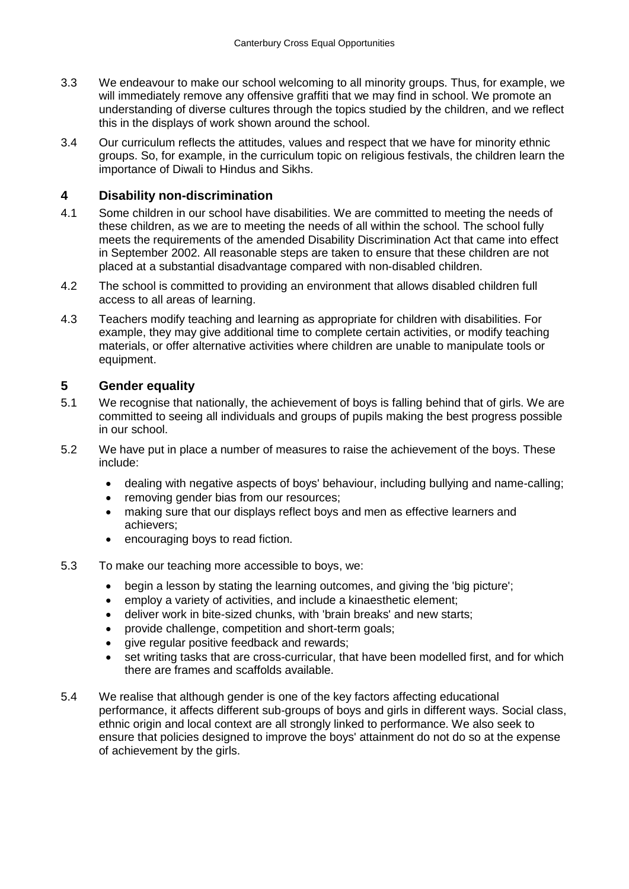- 3.3 We endeavour to make our school welcoming to all minority groups. Thus, for example, we will immediately remove any offensive graffiti that we may find in school. We promote an understanding of diverse cultures through the topics studied by the children, and we reflect this in the displays of work shown around the school.
- 3.4 Our curriculum reflects the attitudes, values and respect that we have for minority ethnic groups. So, for example, in the curriculum topic on religious festivals, the children learn the importance of Diwali to Hindus and Sikhs.

#### **4 Disability non-discrimination**

- 4.1 Some children in our school have disabilities. We are committed to meeting the needs of these children, as we are to meeting the needs of all within the school. The school fully meets the requirements of the amended Disability Discrimination Act that came into effect in September 2002. All reasonable steps are taken to ensure that these children are not placed at a substantial disadvantage compared with non-disabled children.
- 4.2 The school is committed to providing an environment that allows disabled children full access to all areas of learning.
- 4.3 Teachers modify teaching and learning as appropriate for children with disabilities. For example, they may give additional time to complete certain activities, or modify teaching materials, or offer alternative activities where children are unable to manipulate tools or equipment.

#### **5 Gender equality**

- 5.1 We recognise that nationally, the achievement of boys is falling behind that of girls. We are committed to seeing all individuals and groups of pupils making the best progress possible in our school.
- 5.2 We have put in place a number of measures to raise the achievement of the boys. These include:
	- dealing with negative aspects of boys' behaviour, including bullying and name-calling;
	- removing gender bias from our resources;
	- making sure that our displays reflect boys and men as effective learners and achievers;
	- encouraging boys to read fiction.
- 5.3 To make our teaching more accessible to boys, we:
	- begin a lesson by stating the learning outcomes, and giving the 'big picture';
	- employ a variety of activities, and include a kinaesthetic element;
	- deliver work in bite-sized chunks, with 'brain breaks' and new starts;
	- provide challenge, competition and short-term goals;
	- give regular positive feedback and rewards;
	- set writing tasks that are cross-curricular, that have been modelled first, and for which there are frames and scaffolds available.
- 5.4 We realise that although gender is one of the key factors affecting educational performance, it affects different sub-groups of boys and girls in different ways. Social class, ethnic origin and local context are all strongly linked to performance. We also seek to ensure that policies designed to improve the boys' attainment do not do so at the expense of achievement by the girls.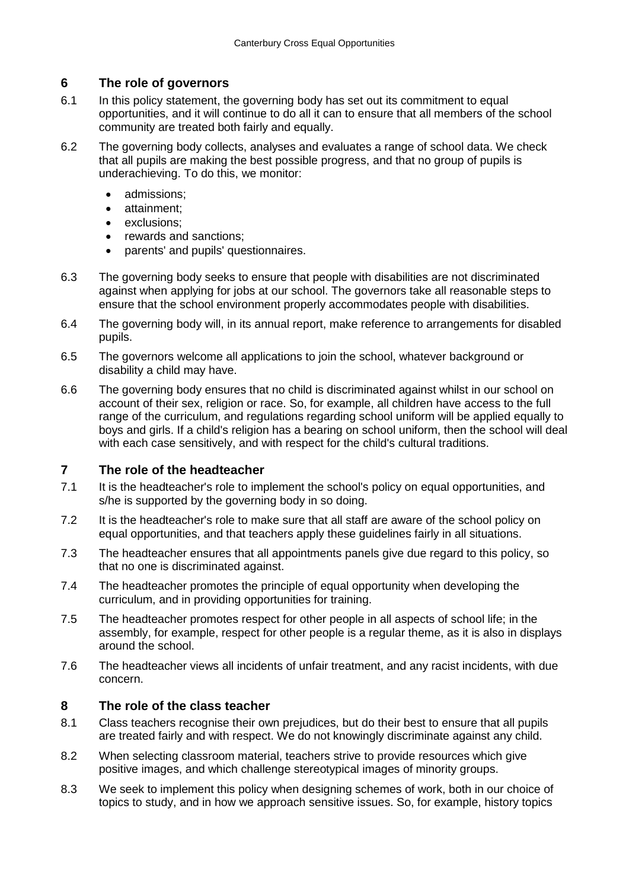## **6 The role of governors**

- 6.1 In this policy statement, the governing body has set out its commitment to equal opportunities, and it will continue to do all it can to ensure that all members of the school community are treated both fairly and equally.
- 6.2 The governing body collects, analyses and evaluates a range of school data. We check that all pupils are making the best possible progress, and that no group of pupils is underachieving. To do this, we monitor:
	- admissions:
	- attainment:
	- exclusions;
	- rewards and sanctions;
	- parents' and pupils' questionnaires.
- 6.3 The governing body seeks to ensure that people with disabilities are not discriminated against when applying for jobs at our school. The governors take all reasonable steps to ensure that the school environment properly accommodates people with disabilities.
- 6.4 The governing body will, in its annual report, make reference to arrangements for disabled pupils.
- 6.5 The governors welcome all applications to join the school, whatever background or disability a child may have.
- 6.6 The governing body ensures that no child is discriminated against whilst in our school on account of their sex, religion or race. So, for example, all children have access to the full range of the curriculum, and regulations regarding school uniform will be applied equally to boys and girls. If a child's religion has a bearing on school uniform, then the school will deal with each case sensitively, and with respect for the child's cultural traditions.

#### **7 The role of the headteacher**

- 7.1 It is the headteacher's role to implement the school's policy on equal opportunities, and s/he is supported by the governing body in so doing.
- 7.2 It is the headteacher's role to make sure that all staff are aware of the school policy on equal opportunities, and that teachers apply these guidelines fairly in all situations.
- 7.3 The headteacher ensures that all appointments panels give due regard to this policy, so that no one is discriminated against.
- 7.4 The headteacher promotes the principle of equal opportunity when developing the curriculum, and in providing opportunities for training.
- 7.5 The headteacher promotes respect for other people in all aspects of school life; in the assembly, for example, respect for other people is a regular theme, as it is also in displays around the school.
- 7.6 The headteacher views all incidents of unfair treatment, and any racist incidents, with due concern.

#### **8 The role of the class teacher**

- 8.1 Class teachers recognise their own prejudices, but do their best to ensure that all pupils are treated fairly and with respect. We do not knowingly discriminate against any child.
- 8.2 When selecting classroom material, teachers strive to provide resources which give positive images, and which challenge stereotypical images of minority groups.
- 8.3 We seek to implement this policy when designing schemes of work, both in our choice of topics to study, and in how we approach sensitive issues. So, for example, history topics